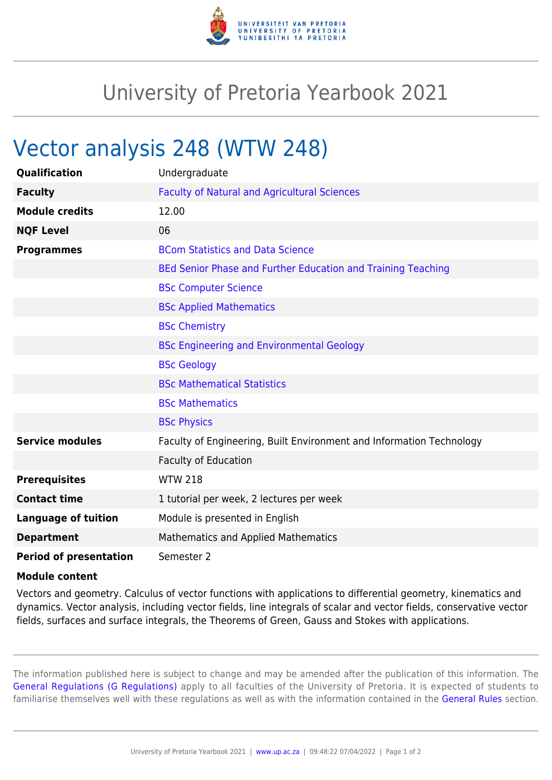

## University of Pretoria Yearbook 2021

## Vector analysis 248 (WTW 248)

| Qualification                 | Undergraduate                                                        |
|-------------------------------|----------------------------------------------------------------------|
| <b>Faculty</b>                | <b>Faculty of Natural and Agricultural Sciences</b>                  |
| <b>Module credits</b>         | 12.00                                                                |
| <b>NQF Level</b>              | 06                                                                   |
| <b>Programmes</b>             | <b>BCom Statistics and Data Science</b>                              |
|                               | BEd Senior Phase and Further Education and Training Teaching         |
|                               | <b>BSc Computer Science</b>                                          |
|                               | <b>BSc Applied Mathematics</b>                                       |
|                               | <b>BSc Chemistry</b>                                                 |
|                               | <b>BSc Engineering and Environmental Geology</b>                     |
|                               | <b>BSc Geology</b>                                                   |
|                               | <b>BSc Mathematical Statistics</b>                                   |
|                               | <b>BSc Mathematics</b>                                               |
|                               | <b>BSc Physics</b>                                                   |
| <b>Service modules</b>        | Faculty of Engineering, Built Environment and Information Technology |
|                               | <b>Faculty of Education</b>                                          |
| <b>Prerequisites</b>          | <b>WTW 218</b>                                                       |
| <b>Contact time</b>           | 1 tutorial per week, 2 lectures per week                             |
| <b>Language of tuition</b>    | Module is presented in English                                       |
| <b>Department</b>             | <b>Mathematics and Applied Mathematics</b>                           |
| <b>Period of presentation</b> | Semester 2                                                           |

## **Module content**

Vectors and geometry. Calculus of vector functions with applications to differential geometry, kinematics and dynamics. Vector analysis, including vector fields, line integrals of scalar and vector fields, conservative vector fields, surfaces and surface integrals, the Theorems of Green, Gauss and Stokes with applications.

The information published here is subject to change and may be amended after the publication of this information. The [General Regulations \(G Regulations\)](https://www.up.ac.za/parents/yearbooks/2021/rules/view/REG) apply to all faculties of the University of Pretoria. It is expected of students to familiarise themselves well with these regulations as well as with the information contained in the [General Rules](https://www.up.ac.za/parents/yearbooks/2021/rules/view/RUL) section.